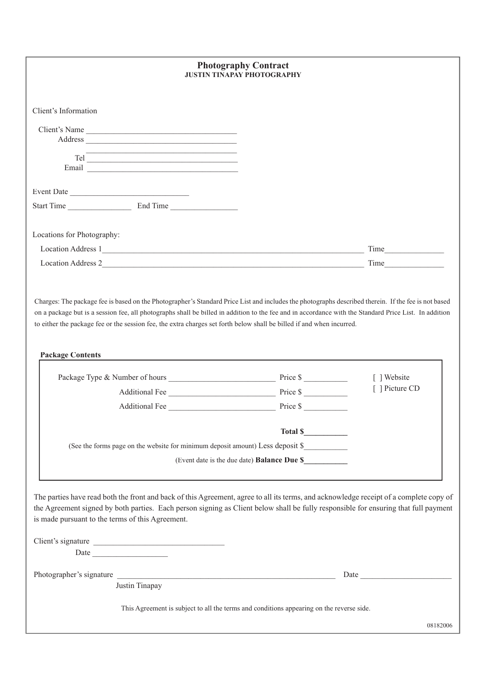| <b>Photography Contract</b><br><b>JUSTIN TINAPAY PHOTOGRAPHY</b> |                                                                                                                                                                                                                                                                                                                                                                                                                                                                                                     |                                                                                                                                                                                                                                                                                                                                                                                                                                       |                |  |  |
|------------------------------------------------------------------|-----------------------------------------------------------------------------------------------------------------------------------------------------------------------------------------------------------------------------------------------------------------------------------------------------------------------------------------------------------------------------------------------------------------------------------------------------------------------------------------------------|---------------------------------------------------------------------------------------------------------------------------------------------------------------------------------------------------------------------------------------------------------------------------------------------------------------------------------------------------------------------------------------------------------------------------------------|----------------|--|--|
| Client's Information                                             |                                                                                                                                                                                                                                                                                                                                                                                                                                                                                                     |                                                                                                                                                                                                                                                                                                                                                                                                                                       |                |  |  |
| Client's Name                                                    |                                                                                                                                                                                                                                                                                                                                                                                                                                                                                                     |                                                                                                                                                                                                                                                                                                                                                                                                                                       |                |  |  |
|                                                                  | $\begin{tabular}{ c c } \hline \multicolumn{3}{ c }{\textbf{Rel}} & \multicolumn{3}{ c }{\textbf{Rel}}\\ \hline \multicolumn{3}{ c }{\textbf{Rel}} & \multicolumn{3}{ c }{\textbf{Rel}}\\ \hline \multicolumn{3}{ c }{\textbf{Rel}} & \multicolumn{3}{ c }{\textbf{Rel}}\\ \hline \multicolumn{3}{ c }{\textbf{Rel}} & \multicolumn{3}{ c }{\textbf{Rel}}\\ \hline \multicolumn{3}{ c }{\textbf{Rel}} & \multicolumn{3}{ c }{\textbf{Rel}}\\ \hline \multicolumn{3}{ c $<br>Email <u>experience</u> |                                                                                                                                                                                                                                                                                                                                                                                                                                       |                |  |  |
| Event Date                                                       |                                                                                                                                                                                                                                                                                                                                                                                                                                                                                                     |                                                                                                                                                                                                                                                                                                                                                                                                                                       |                |  |  |
| Start Time End Time                                              |                                                                                                                                                                                                                                                                                                                                                                                                                                                                                                     |                                                                                                                                                                                                                                                                                                                                                                                                                                       |                |  |  |
| Locations for Photography:                                       |                                                                                                                                                                                                                                                                                                                                                                                                                                                                                                     |                                                                                                                                                                                                                                                                                                                                                                                                                                       |                |  |  |
|                                                                  |                                                                                                                                                                                                                                                                                                                                                                                                                                                                                                     |                                                                                                                                                                                                                                                                                                                                                                                                                                       | <b>Time</b>    |  |  |
|                                                                  |                                                                                                                                                                                                                                                                                                                                                                                                                                                                                                     |                                                                                                                                                                                                                                                                                                                                                                                                                                       | <b>Time</b>    |  |  |
| <b>Package Contents</b>                                          |                                                                                                                                                                                                                                                                                                                                                                                                                                                                                                     | Charges: The package fee is based on the Photographer's Standard Price List and includes the photographs described therein. If the fee is not based<br>on a package but is a session fee, all photographs shall be billed in addition to the fee and in accordance with the Standard Price List. In addition<br>to either the package fee or the session fee, the extra charges set forth below shall be billed if and when incurred. |                |  |  |
|                                                                  |                                                                                                                                                                                                                                                                                                                                                                                                                                                                                                     |                                                                                                                                                                                                                                                                                                                                                                                                                                       | [ ] Website    |  |  |
|                                                                  |                                                                                                                                                                                                                                                                                                                                                                                                                                                                                                     | Additional Fee Price \$                                                                                                                                                                                                                                                                                                                                                                                                               | [ ] Picture CD |  |  |
|                                                                  |                                                                                                                                                                                                                                                                                                                                                                                                                                                                                                     |                                                                                                                                                                                                                                                                                                                                                                                                                                       |                |  |  |
|                                                                  |                                                                                                                                                                                                                                                                                                                                                                                                                                                                                                     | Total \$                                                                                                                                                                                                                                                                                                                                                                                                                              |                |  |  |
|                                                                  |                                                                                                                                                                                                                                                                                                                                                                                                                                                                                                     | (See the forms page on the website for minimum deposit amount) Less deposit \$                                                                                                                                                                                                                                                                                                                                                        |                |  |  |
|                                                                  |                                                                                                                                                                                                                                                                                                                                                                                                                                                                                                     | (Event date is the due date) <b>Balance Due \$</b>                                                                                                                                                                                                                                                                                                                                                                                    |                |  |  |

| Client's signature                                                                       |                |  |          |  |
|------------------------------------------------------------------------------------------|----------------|--|----------|--|
| Date                                                                                     |                |  |          |  |
| Photographer's signature                                                                 |                |  | Date     |  |
|                                                                                          | Justin Tinapay |  |          |  |
| This Agreement is subject to all the terms and conditions appearing on the reverse side. |                |  |          |  |
|                                                                                          |                |  | 08182006 |  |

The parties have read both the front and back of this Agreement, agree to all its terms, and acknowledge receipt of a complete copy of the Agreement signed by both parties. Each person signing as Client below shall be fully responsible for ensuring that full payment is made pursuant to the terms of this Agreement.